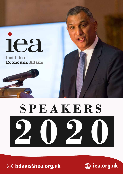

**Economic Affairs** 

# SPEAKERS 2. 02. 0



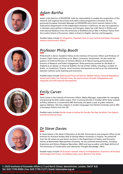



Adam is the Director of EPICENTER, with the responsibility to enable the cooperation of the network and organise the private and public events programme in Brussels. He was previously European Outreach Manager at EPICENTER and a Koch Summer Fellow in the Publications Department of the Independent Institute in California. He also has experience in domestic party politics in Germany and Hungary. Adam has a BA (Hons) in Politics and International Relations from the University of Sheffield and an MSc in Political Theory from the London School of Economics. Adam is fluent in English, German and Hungarian.

Possible topics include EU integration, Populism, Rule of Law, Central-and Eastern European Political and Economic Affairs



## *Professor Philip Booth*

Philip Booth is Senior Academic Fellow at the Institute of Economic Affairs and Professor of Finance, Public Policy and Ethics at St. Mary's University, Twickenham. He also holds the position of (interim) Director of Catholic Mission at St. Mary's having previously been Director of Research and Public Engagement. Philip previously worked for the Bank of England as an adviser on financial stability. He has written widely, including a number of books, on investment, finance, social insurance and pensions as well as on the relationship between Catholic social teaching and economics.

Possible topics include Banking and Financial Services, Market Failure, Financial Regulation, Government Debt, the Financial Crisis, Tax and Economic Growth, Globalisation and Inequality and International Development.



### *Emily Carver*

Emily Carver is the Institute of Economic Affairs' Media Manager, responsible for managing and growing the IEA's media output. Prior to joining the IEA in October 2019, Emily worked as Policy Adviser to a Conservative MP. Previously, she spent a year at public relations agency, Edelman. She has a degree in modern languages from Bristol University and an MSc in European Politics from the LSE.

Possible topics include Gender Issues including the Gender Pay Gap, Socialism, Free Speech, and Environmental Issues.



# *Dr Steve Davies*

Dr Steve Davies is the Head of Education at the IEA. Previously he was program officer at the Institute for Humane Studies (IHS) at George Mason University in Virginia. He joined IHS from the UK where he was Senior Lecturer in the Department of History and Economic History at Manchester Metropolitan University. He has authored several books, including Empiricism and History (Palgrave Macmillan, 2003) and was co-editor with Nigel Ashford of The Dictionary of Conservative and Libertarian Thought (Routledge, 1991).

Possible topics include UK Economic Growth, History of Globalisation, Economics of Football, Technology & the Future, the Welfare state, and a World of City States.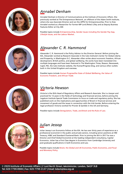

## *Annabel Denham*

Annabel Denham is Director of Communications at the Institute of Economic Affairs. She previously worked at The Entrepreneurs Network, an offshoot of the Adam Smith Institute, where she was Associate Director and ran the APPG for Entrepreneurship. Prior to that, Annabel worked as a Researcher for former-MP Lord (Peter) Lilley and as Deputy Business Features Editor at City AM.

Possible topics include Entrepreneurship, Gender Issues including the Gender Pay Gap, Lifestyle Issues, and the Labour Market.





# *Alexander C. R. Hammond*

Alexander C. R. Hammond is the Policy Advisor to the Director General. Before joining the IEA, Alexander worked as Research Associate in the Cato Institute's Center for Global Liberty and Prosperity, in Washington D.C. Alexander often writes about economic freedom, African development, British politics, and global wellbeing. His works have been translated into multiple languages and have been featured in The Washington Times, Reason, Newsweek, CapX, FEE, the Cato Institute website, the HumanProgress blog, and various other outlets both in the United Kingdom and overseas.

Possible topics include Human Progress/the State of Global Wellbeing, the Value of Economic Freedom, and African Trade.

# *Victoria Hewson*

Victoria is the IEA's Head of Regulatory Affairs and Research Associate. She is a lawyer and practiced for 12 years in the fields of technology and financial services, before joining the Legatum Institute Special Trade Commission to focus on trade and regulatory policy. She has published work on the implications and opportunities of Brexit in financial services and movement of goods and the issues in connection with the Irish border. Before entering the legal profession Victoria worked for Procter & Gamble in the UK and Germany.

Possible topics include Deregulation, Trade, and Brexit and the Rule of Law.



### *Julian Jessop*

Julian Jessop is an Economics Fellow at the IEA. He has over thirty years of experience as a professional economist in the public and private sectors, including senior positions at HM Treasury, HSBC and Standard Chartered Bank. Prior to joining the IEA in 2017 he was a Director and Chief Global Economist at the leading independent consultancy, Capital Economics. Julian has a First Class degree in Economics from Cambridge University and post-graduate qualfications in both Economics and Law.

Possible topics include Brexit, the Global and UK Economies, Public Economics, and Fiscal and Monetary Policy.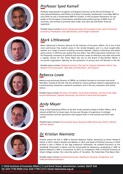









# *Professor Syed Kamall*

Professor Syed Kamall is Academic and Research Director at the IEA and Professor of International Relations and Politics at St Mary's University, Twickenham. From May 2005 to June 2019, he was a Conservative MEP for London. In the European Parliament, he was leader of the European Conservatives and Reformists political group of MEPs from 19 countries, and worked to promote open trade, tech start-ups and better financial regulation.

Possible topics include Poverty, Entrepreneurship, the European Union, post-Communist Economics, Privatisation and Liberalisation, and Foreign Investment.

# *Mark Littlewood*

Mark Littlewood is Director General of the Institute of Economic Affairs. He is one of the most well-known free market voices in the United KIngdom and is a must sought-after speaker at a range of events including university debates, industry conferences and public policy events. In 2019 he was ranked 41st Iain Dale's 'Top 100 Conservative Influencers' List. He frequently comments on political and economic issues on television and radio and writes a regular column for The Times. Mark also sits on the Board of Big Brother Watch, a non-profit organisation fighting for the protection of privacy and civil liberties in the UK.

Possible topics include Lifestyle Economics, The Case for Classical Liberalism, Brexit, Free Market Environmentalism, 'Bad Stats and Fake News', and Taxation.

### *Rebecca Lowe*

Rebecca was previously Director of FREER, an initiative focused on economic and social liberalism, housed at the IEA. She has worked for various political research organisations, as a parliamentary researcher, a political consultant, and in the arts, education and charity sectors.

Possible topics include the Value of freedom, Fiscal decentralisation, the Size of the state, Income distribution, Equality, Democracy, the Future of work and Free speech.

# *Andy Mayer*

Andy is Chief Operating Officer at the IEA. Andy worked as Head of Public Affairs, UK & Ireland at BASF plc for seven years. He has over 20 years of experience in strategic communications and the operations that support them in the business and think tank worlds.

Possible topics include Environmental Issues, Business & Manufacturing, Politics of Brexit, and Free Speech.

# *Dr Kristian Niemietz*

Kristian joined the IEA in 2008 as Poverty Research Fellow, becoming its Senior Research Fellow in 2013, Head of Health and Welfare in 2015 and Head of Political Economy in 2018. Kristian is also a Fellow of the Age Endeavour Fellowship. He studied Economics at the Humboldt Universität zu Berlin and the Universidad de Salamanca, graduating in 2007 as Diplom-Volkswirt (≈MSc in Economics). In 2013, he completed a PhD in Political Economy at King's College London. He is also the author of 'Socialism: The Failed Idea That Never Dies'.

Possible topics include Socialism/Communism, Healthcare, Housing, Immigration, and Federalism/Decentralisation.